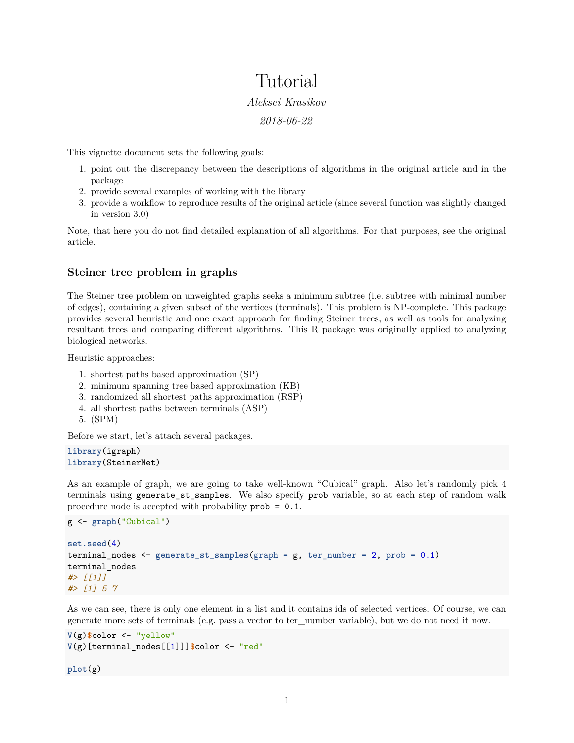# Tutorial *Aleksei Krasikov 2018-06-22*

This vignette document sets the following goals:

- 1. point out the discrepancy between the descriptions of algorithms in the original article and in the package
- 2. provide several examples of working with the library
- 3. provide a workflow to reproduce results of the original article (since several function was slightly changed in version 3.0)

Note, that here you do not find detailed explanation of all algorithms. For that purposes, see the [original](https://bmcbioinformatics.biomedcentral.com/articles/10.1186/1471-2105-14-144) [article.](https://bmcbioinformatics.biomedcentral.com/articles/10.1186/1471-2105-14-144)

# **Steiner tree problem in graphs**

The Steiner tree problem on unweighted graphs seeks a minimum subtree (i.e. subtree with minimal number of edges), containing a given subset of the vertices (terminals). This problem is NP-complete. This package provides several heuristic and one exact approach for finding Steiner trees, as well as tools for analyzing resultant trees and comparing different algorithms. This R package was originally applied to analyzing biological networks.

Heuristic approaches:

- 1. shortest paths based approximation (SP)
- 2. minimum spanning tree based approximation (KB)
- 3. randomized all shortest paths approximation (RSP)
- 4. all shortest paths between terminals (ASP)
- 5. (SPM)

Before we start, let's attach several packages.

```
library(igraph)
library(SteinerNet)
```
As an example of graph, we are going to take well-known "Cubical" graph. Also let's randomly pick 4 terminals using generate\_st\_samples. We also specify prob variable, so at each step of random walk procedure node is accepted with probability prob = 0.1.

```
g <- graph("Cubical")
```

```
set.seed(4)
terminal_nodes <- generate_st_samples(graph = g, ter_number = 2, prob = 0.1)
terminal_nodes
#> [[1]]
#> [1] 5 7
```
As we can see, there is only one element in a list and it contains ids of selected vertices. Of course, we can generate more sets of terminals (e.g. pass a vector to ter\_number variable), but we do not need it now.

```
V(g)$color <- "yellow"
V(g)[terminal_nodes[[1]]]$color <- "red"
```
**plot**(g)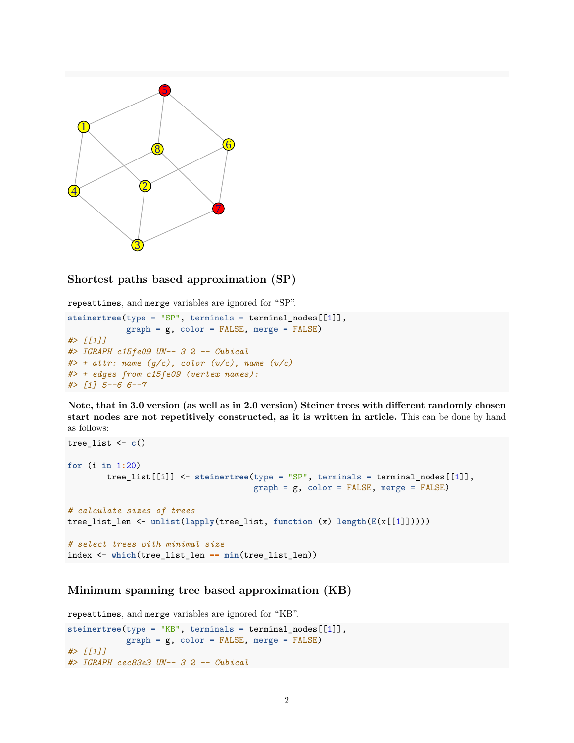

# **Shortest paths based approximation (SP)**

repeattimes, and merge variables are ignored for "SP".

```
steinertree(type = "SP", terminals = terminal_nodes[[1]],
            graph = g, color = FALSE, merge = FALSE)
#> [[1]]
#> IGRAPH c15fe09 UN-- 3 2 -- Cubical
#> + attr: name (g/c), color (v/c), name (v/c)
#> + edges from c15fe09 (vertex names):
#> [1] 5--6 6--7
```
**Note, that in 3.0 version (as well as in 2.0 version) Steiner trees with different randomly chosen start nodes are not repetitively constructed, as it is written in article.** This can be done by hand as follows:

```
tree_list <- c()
for (i in 1:20)
       tree_list[[i]] <- steinertree(type = "SP", terminals = terminal_nodes[[1]],
                                      graph = g, color = FALSE, merge = FALSE)
# calculate sizes of trees
tree_list_len <- unlist(lapply(tree_list, function (x) length(E(x[[1]]))))
# select trees with minimal size
index <- which(tree_list_len == min(tree_list_len))
```
# **Minimum spanning tree based approximation (KB)**

```
repeattimes, and merge variables are ignored for "KB".
steinertree(type = "KB", terminals = terminal_nodes[[1]],
            graph = g, color = FALSE, merge = FALSE)
#> [[1]]
#> IGRAPH cec83e3 UN-- 3 2 -- Cubical
```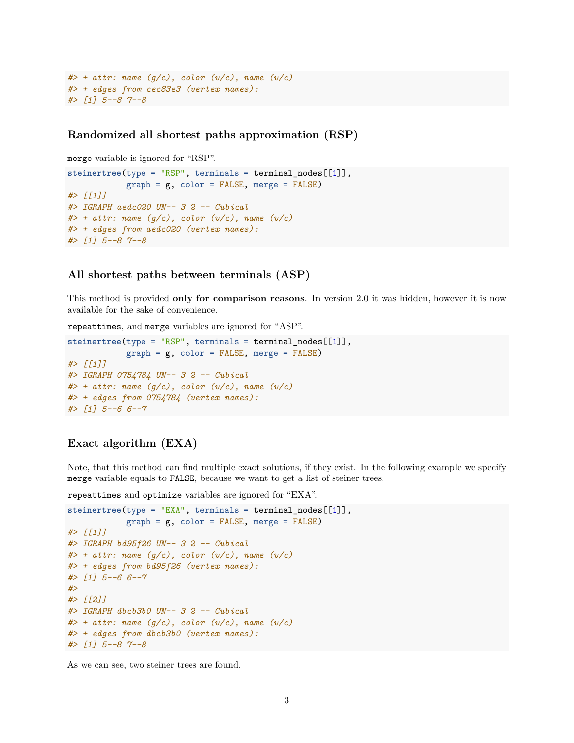```
#> + attr: name (g/c), color (v/c), name (v/c)
#> + edges from cec83e3 (vertex names):
#> [1] 5--8 7--8
```
**Randomized all shortest paths approximation (RSP)**

merge variable is ignored for "RSP".

```
steinertree(type = "RSP", terminals = terminal nodes[[1]],
            graph = g, color = FALSE, merge = FALSE)
#> [[1]]
#> IGRAPH aedc020 UN-- 3 2 -- Cubical
#> + attr: name (g/c), color (v/c), name (v/c)
#> + edges from aedc020 (vertex names):
#> [1] 5--8 7--8
```
#### **All shortest paths between terminals (ASP)**

This method is provided **only for comparison reasons**. In version 2.0 it was hidden, however it is now available for the sake of convenience.

repeattimes, and merge variables are ignored for "ASP".

```
steinertree(type = "RSP", terminals = terminal_nodes[[1]],
            graph = g, color = FALSE, merge = FALSE)
#> [[1]]
#> IGRAPH 0754784 UN-- 3 2 -- Cubical
#> + attr: name (g/c), color (v/c), name (v/c)
#> + edges from 0754784 (vertex names):
#> [1] 5--6 6--7
```
# **Exact algorithm (EXA)**

Note, that this method can find multiple exact solutions, if they exist. In the following example we specify merge variable equals to FALSE, because we want to get a list of steiner trees.

repeattimes and optimize variables are ignored for "EXA".

```
steinertree(type = "EXA", terminals = terminal_nodes[[1]],
            graph = g, color = FALSE, merge = FALSE)
#> [[1]]
#> IGRAPH bd95f26 UN-- 3 2 -- Cubical
#> + attr: name (g/c), color (v/c), name (v/c)
#> + edges from bd95f26 (vertex names):
#> [1] 5--6 6--7
#>
#> [[2]]
#> IGRAPH dbcb3b0 UN-- 3 2 -- Cubical
#> + attr: name (g/c), color (v/c), name (v/c)
#> + edges from dbcb3b0 (vertex names):
#> [1] 5--8 7--8
```
As we can see, two steiner trees are found.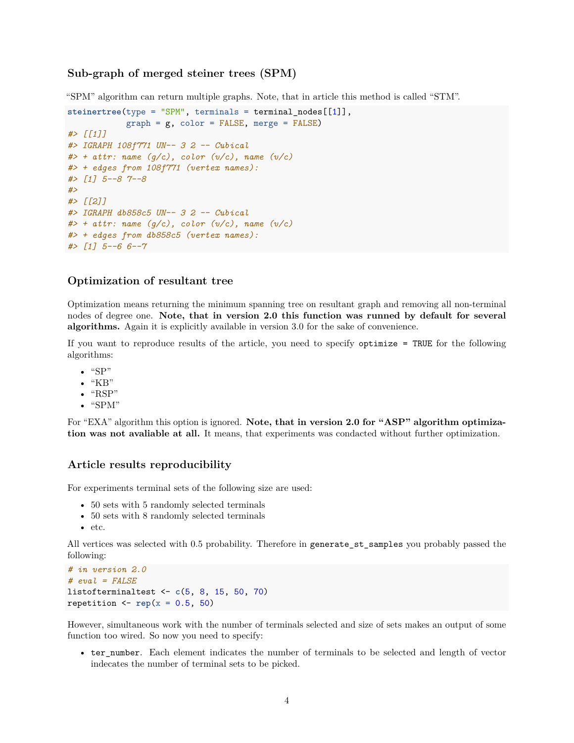# **Sub-graph of merged steiner trees (SPM)**

"SPM" algorithm can return multiple graphs. Note, that in article this method is called "STM".

```
steinertree(type = "SPM", terminals = terminal_nodes[[1]],
            graph = g, color = FALSE, merge = FALSE)
#> [[1]]
#> IGRAPH 108f771 UN-- 3 2 -- Cubical
#> + attr: name (g/c), color (v/c), name (v/c)
#> + edges from 108f771 (vertex names):
#> [1] 5--8 7--8
#>
#> [[2]]
#> IGRAPH db858c5 UN-- 3 2 -- Cubical
#> + attr: name (g/c), color (v/c), name (v/c)
#> + edges from db858c5 (vertex names):
#> [1] 5--6 6--7
```
#### **Optimization of resultant tree**

Optimization means returning the minimum spanning tree on resultant graph and removing all non-terminal nodes of degree one. **Note, that in version 2.0 this function was runned by default for several algorithms.** Again it is explicitly available in version 3.0 for the sake of convenience.

If you want to reproduce results of the article, you need to specify optimize = TRUE for the following algorithms:

- $\bullet$  "SP"
- $\bullet$  "KB"
- $\bullet$  "RSP"
- "SPM"

For "EXA" algorithm this option is ignored. **Note, that in version 2.0 for "ASP" algorithm optimization was not avaliable at all.** It means, that experiments was condacted without further optimization.

### **Article results reproducibility**

For experiments terminal sets of the following size are used:

- 50 sets with 5 randomly selected terminals
- 50 sets with 8 randomly selected terminals
- etc.

All vertices was selected with 0.5 probability. Therefore in generate\_st\_samples you probably passed the following:

```
# in version 2.0
# eval = FALSE
listofterminaltest <- c(5, 8, 15, 50, 70)
repetition \leq rep(x = 0.5, 50)
```
However, simultaneous work with the number of terminals selected and size of sets makes an output of some function too wired. So now you need to specify:

• ter\_number. Each element indicates the number of terminals to be selected and length of vector indecates the number of terminal sets to be picked.